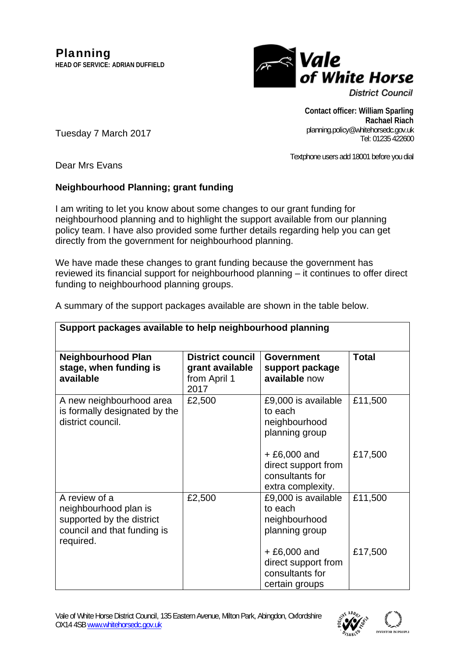

**District Council** 

**Contact officer: William Sparling Rachael Riach**  planning.policy@whitehorsedc.gov.uk Tel: 01235 422600

Textphone users add 18001 before you dial

Dear Mrs Evans

**available** 

Tuesday 7 March 2017

# **Neighbourhood Planning; grant funding**

I am writing to let you know about some changes to our grant funding for neighbourhood planning and to highlight the support available from our planning policy team. I have also provided some further details regarding help you can get directly from the government for neighbourhood planning.

We have made these changes to grant funding because the government has reviewed its financial support for neighbourhood planning – it continues to offer direct funding to neighbourhood planning groups.

| Support packages available to help neighbourhood planning |                                                  |                 |       |  |
|-----------------------------------------------------------|--------------------------------------------------|-----------------|-------|--|
| <b>Neighbourhood Plan</b><br>stage, when funding is       | District council   Government<br>grant available | support package | Total |  |

**available** now

from April 1

 $0.27$ 

A summary of the support packages available are shown in the table below.

|                                                                                                                 | 20 I I |                                                                              |         |
|-----------------------------------------------------------------------------------------------------------------|--------|------------------------------------------------------------------------------|---------|
| A new neighbourhood area<br>is formally designated by the<br>district council.                                  | £2,500 | £9,000 is available<br>to each<br>neighbourhood<br>planning group            | £11,500 |
|                                                                                                                 |        | $+£6,000$ and<br>direct support from<br>consultants for<br>extra complexity. | £17,500 |
| A review of a<br>neighbourhood plan is<br>supported by the district<br>council and that funding is<br>required. | £2,500 | £9,000 is available<br>to each<br>neighbourhood<br>planning group            | £11,500 |
|                                                                                                                 |        | $+£6,000$ and<br>direct support from<br>consultants for<br>certain groups    | £17,500 |

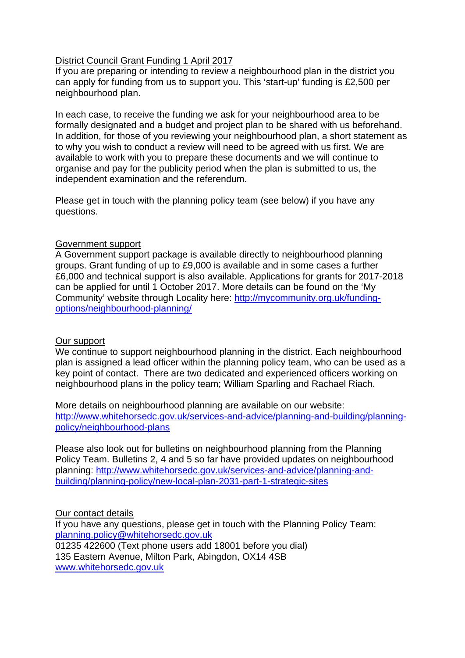### District Council Grant Funding 1 April 2017

If you are preparing or intending to review a neighbourhood plan in the district you can apply for funding from us to support you. This 'start-up' funding is £2,500 per neighbourhood plan.

In each case, to receive the funding we ask for your neighbourhood area to be formally designated and a budget and project plan to be shared with us beforehand. In addition, for those of you reviewing your neighbourhood plan, a short statement as to why you wish to conduct a review will need to be agreed with us first. We are available to work with you to prepare these documents and we will continue to organise and pay for the publicity period when the plan is submitted to us, the independent examination and the referendum.

Please get in touch with the planning policy team (see below) if you have any questions.

### Government support

A Government support package is available directly to neighbourhood planning groups. Grant funding of up to £9,000 is available and in some cases a further £6,000 and technical support is also available. Applications for grants for 2017-2018 can be applied for until 1 October 2017. More details can be found on the 'My Community' website through Locality here: [http://mycommunity.org.uk/funding](http://mycommunity.org.uk/funding-options/neighbourhood-planning/)[options/neighbourhood-planning/](http://mycommunity.org.uk/funding-options/neighbourhood-planning/) 

# Our support

We continue to support neighbourhood planning in the district. Each neighbourhood plan is assigned a lead officer within the planning policy team, who can be used as a key point of contact. There are two dedicated and experienced officers working on neighbourhood plans in the policy team; William Sparling and Rachael Riach.

More details on neighbourhood planning are available on our website: [http://www.whitehorsedc.gov.uk/services-and-advice/planning-and-building/planning](http://www.whitehorsedc.gov.uk/services-and-advice/planning-and-building/planning-policy/neighbourhood-plans)[policy/neighbourhood-plans](http://www.whitehorsedc.gov.uk/services-and-advice/planning-and-building/planning-policy/neighbourhood-plans) 

Please also look out for bulletins on neighbourhood planning from the Planning Policy Team. Bulletins 2, 4 and 5 so far have provided updates on neighbourhood planning: [http://www.whitehorsedc.gov.uk/services-and-advice/planning-and](http://www.whitehorsedc.gov.uk/services-and-advice/planning-and-building/planning-policy/new-local-plan-2031-part-1-strategic-sites)[building/planning-policy/new-local-plan-2031-part-1-strategic-sites](http://www.whitehorsedc.gov.uk/services-and-advice/planning-and-building/planning-policy/new-local-plan-2031-part-1-strategic-sites)

#### Our contact details

If you have any questions, please get in touch with the Planning Policy Team: [planning.policy@whitehorsedc.gov.uk](mailto:planning.policy@whitehorsedc.gov.uk)  01235 422600 (Text phone users add 18001 before you dial) 135 Eastern Avenue, Milton Park, Abingdon, OX14 4SB [www.whitehorsedc.gov.uk](http://www.whitehorsedc.gov.uk/)